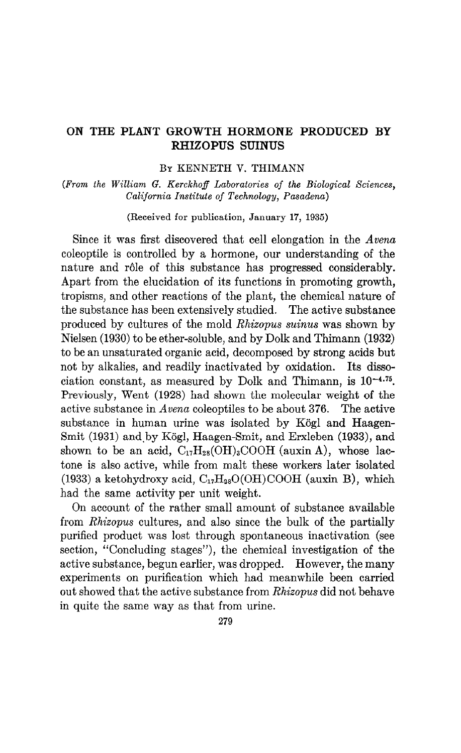### ON THE PLANT GROWTH HORMONE PRODUCED BY RHIZOPUS SUINUS

### BY KENNETH V. THIMANN

(From the William G. Kerckhoff Laboratories of the Biological Sciences, California Institute of Technology, Pasadena)

(Received for publication, January 17, 1935)

Since it was first discovered that cell elongation in the  $Avena$ coleoptile is controlled by a hormone, our understanding of the nature and rôle of this substance has progressed considerably. Apart from the elucidation of its functions in promoting growth, tropisms, and other reactions of the plant, the chemical nature of the substance has been extensively studied. The active substance produced by cultures of the mold Rhizopus suinus was shown by Nielsen (1930) to be ether-soluble, and by Dolk and Thimann (1932) to be an unsaturated organic acid, decomposed by strong acids but not by alkalies, and readily inactivated by oxidation. Its dissociation constant, as measured by Dolk and Thimann, is  $10^{-4.75}$ . Previously, Went (1928) had shown the molecular weight of the active substance in Avena coleoptiles to be about 376. The active substance in human urine was isolated by Kögl and Haagen-Smit (1931) and by Kögl, Haagen-Smit, and Erxleben (1933), and shown to be an acid,  $C_{17}H_{28}(OH)_3COOH$  (auxin A), whose lactone is also active, while from malt these workers later isolated (1933) a ketohydroxy acid,  $C_{17}H_{28}O(OH)COOH$  (auxin B), which had the same activity per unit weight.

On account of the rather small amount of substance available from Rhizopus cultures, and also since the bulk of the partially purified product was lost through spontaneous inactivation (see section, "Concluding stages"), the chemical investigation of the active substance, begun earlier, was dropped. However, the many experiments on purification which had meanwhile been carried out showed that the active substance from Rhizopus did not behave in quite the same way as that from urine.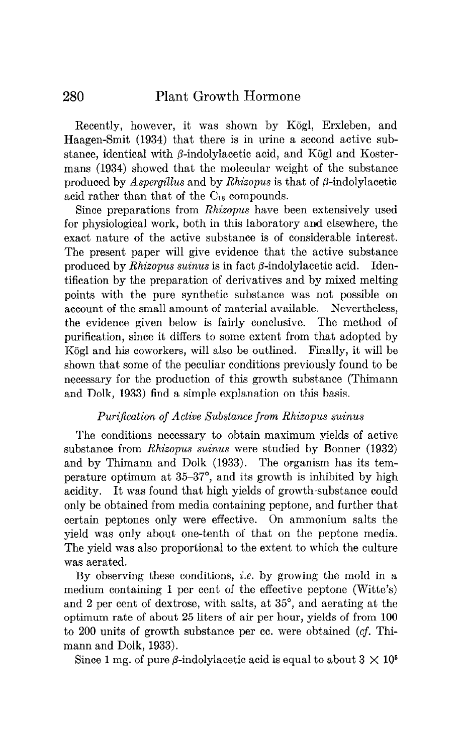Recently, however, it was shown by Kögl, Erxleben, and Haagen-Smit (1934) that there is in urine a second active substance, identical with  $\beta$ -indolylacetic acid, and Kögl and Kostermans (1934) showed that the molecular weight of the substance produced by Aspergillus and by Rhizopus is that of  $\beta$ -indolylacetic acid rather than that of the  $C_{18}$  compounds.

Since preparations from Rhixopus have been extensively used for physiological work, both in this laboratory and elsewhere, the exact nature of the active substance is of considerable interest. The present paper will give evidence that the active substance produced by Rhizopus suinus is in fact  $\beta$ -indolylacetic acid. Identification by the preparation of derivatives and by mixed melting points with the pure synthetic substance was not possible on account of the small amount of material available. Nevertheless, the evidence given below is fairly conclusive. The method of purification, since it differs to some extent from that adopted by Kögl and his coworkers, will also be outlined. Finally, it will be shown that some of the peculiar conditions previously found to be necessary for the production of this growth substance (Thimann and Dolk, 1933) find a simple explanation on this basis.

### Purification of Active Substance from Rhizopus suinus

The conditions necessary to obtain maximum yields of active substance from Rhizopus suinus were studied by Bonner (1932) and by Thimann and Dolk (1933). The organism has its temperature optimum at 35-37", and its growth is inhibited by high acidity. It was found that high yields of growth substance could only be obtained from media containing peptone, and further that certain peptones only were effective. On ammonium salts the yield was only about one-tenth of that on the peptone media. The yield was also proportional to the extent to which the culture was aerated.

By observing these conditions, *i.e.* by growing the mold in a medium containing 1 per cent of the effective peptone (Witte's) and 2 per cent of dextrose, with salts, at 35", and aerating at the optimum rate of about 25 liters of air per hour, yields of from 100 to 200 units of growth substance per cc. were obtained (cf. Thimann and Dolk, 1933).

Since 1 mg. of pure  $\beta$ -indolylacetic acid is equal to about  $3 \times 10^5$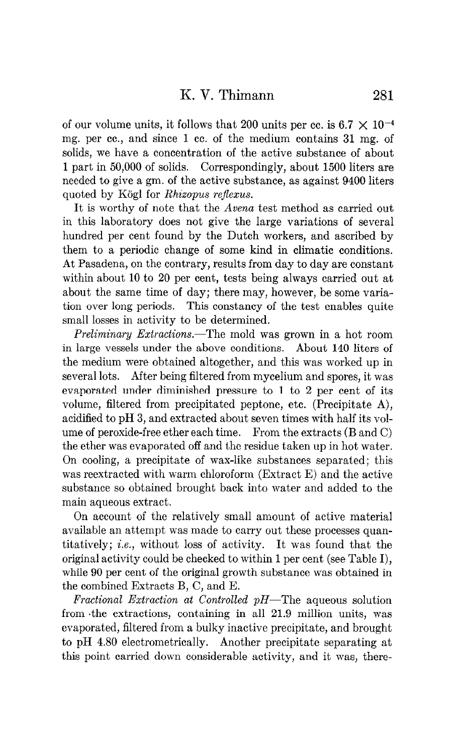of our volume units, it follows that 200 units per cc. is 6.7  $\times$  10<sup>-4</sup> mg. per cc., and since 1 cc. of the medium contains 31 mg. of solids, we have a concentration of the active substance of about 1 part in 50,000 of solids. Correspondingly, about 1500 liters are needed to give a gm. of the active substance, as against 9400 liters quoted by Kögl for Rhizopus reflexus.

It is worthy of note that the *Avena* test method as carried out in this laboratory does not give the large variations of several hundred per cent found by the Dutch workers, and ascribed by them to a periodic change of some kind in climatic conditions. At Pasadena, on the contrary, results from day to day are constant within about 10 to 20 per cent, tests being always carried out at about the same time of day; there may, however, be some variation over long periods. This constancy of the test enables quite small losses in activity to be determined.

Preliminary Extractions.-The mold was grown in a hot room in large vessels under the above conditions. About 140 liters of the medium were obtained altogether, and this was worked up in several lots. After being filtered from mycelium and spores, it was evaporated under diminished pressure to 1 to 2 per cent of its volume, filtered from precipitated peptone, etc. (Precipitate A), acidified to pH 3, and extracted about seven times with half its volume of peroxide-free ether each time. From the extracts (B and C) the ether was evaporated off and the residue taken up in hot water. On cooling, a precipitate of wax-like substances separated; this was reextracted with warm chloroform (Extract E) and the active substance so obtained brought back into water and added to the main aqueous extract.

On account of the relatively small amount of active material available an attempt was made to carry out these processes quantitatively; i.e., without loss of activity. It was found that the original activity could be checked to within 1 per cent (see Table I), while 90 per cent of the original growth substance was obtained in the combined Extracts B, C, and E.

Fractional Extraction at Controlled  $pH$ —The aqueous solution from .the extractions, containing in all 21.9 million units, was evaporated, filtered from a bulky inactive precipitate, and brought to pH 4.80 electrometrically. Another precipitate separating at this point carried down considerable activity, and it was, there-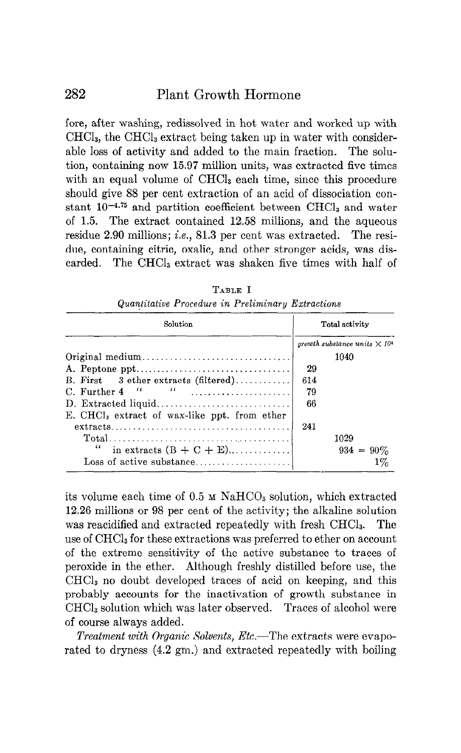fore, after washing, redissolved in hot water and worked up with CHC13, the CHCl, extract being taken up in water with considerable loss of activity and added to the main fraction. The solution, containing now 15.97 million units, was extracted five times with an equal volume of CHCl<sub>3</sub> each time, since this procedure should give 88 per cent extraction of an acid of dissociation constant  $10^{-4.75}$  and partition coefficient between CHCl<sub>3</sub> and water of 1.5. The extract contained 12.58 millions, and the aqueous residue 2.90 millions; i.e., 81.3 per cent was extracted. The residue, containing citric, oxalic, and other stronger acids, was discarded. The CHCl<sub>3</sub> extract was shaken five times with half of

| Solution                                                                                  |     | Total activity                                  |  |
|-------------------------------------------------------------------------------------------|-----|-------------------------------------------------|--|
|                                                                                           |     | growth substance units $\times$ 10 <sup>4</sup> |  |
| $Original medium \dots \dots \dots \dots \dots \dots \dots \dots \dots \dots \dots \dots$ |     | 1040                                            |  |
|                                                                                           | 29  |                                                 |  |
| B. First $\,3$ ether extracts (filtered)                                                  | 614 |                                                 |  |
| $\left\{ \begin{array}{ccc} a & a & \ldots & a \end{array} \right\}$<br>C. Further 4      | 79  |                                                 |  |
|                                                                                           | 66  |                                                 |  |
| E. CHCl <sub>s</sub> extract of wax-like ppt. from ether                                  |     |                                                 |  |
| $extracts \ldots \ldots \ldots \ldots \ldots \ldots \ldots \ldots \ldots \ldots \ldots$   | 241 |                                                 |  |
|                                                                                           |     | 1029                                            |  |
| "<br>in extracts $(B + C + E)$                                                            |     | $934 = 90\%$                                    |  |
| Loss of active substance                                                                  |     | $1\%$                                           |  |

TABLE I Quantitative Procedure in Preliminary Extractions

 $\mathbf{v} = \mathbf{v}$  is volume to  $\mathbf{v} = \mathbf{v}$  of  $\mathbf{v} = \mathbf{v}$  in  $\mathbf{v} = \mathbf{v}$  is a solution, which extracted the  $\mathbf{v} = \mathbf{v}$  $18.26$  millions of 98 per cent of the activity; the activity of the activity solutions of the activity solutions of the activity of the activity of the activity of the activity of the activity of the activity of the acti reaction and extracted repeated repeated repeated repeated repeated repeated repeated repeated repeated repeated repeated repeated repeated repeated repeated repeated repeated repeated repeated repeated repeated repeated r was reactumen and extracted repeatedly with fresh CHCl<sub>3</sub>. The use of  $CHCl<sub>3</sub>$  for these extractions was preferred to ether on account of the extreme sensitivity of the active substance to traces of peroxide in the ether. Although freshly distilled before use, the  $CHCl<sub>3</sub>$  no doubt developed traces of acid on keeping, and this probably accounts for the inactivation of growth substance in  $CHCl<sub>3</sub>$  solution which was later observed. Traces of alcohol were of course always added.

Treatment with Organic Solvents, Etc.—The extracts were evaporated to dryness  $(4.2 \text{ gm.})$  and extracted repeatedly with boiling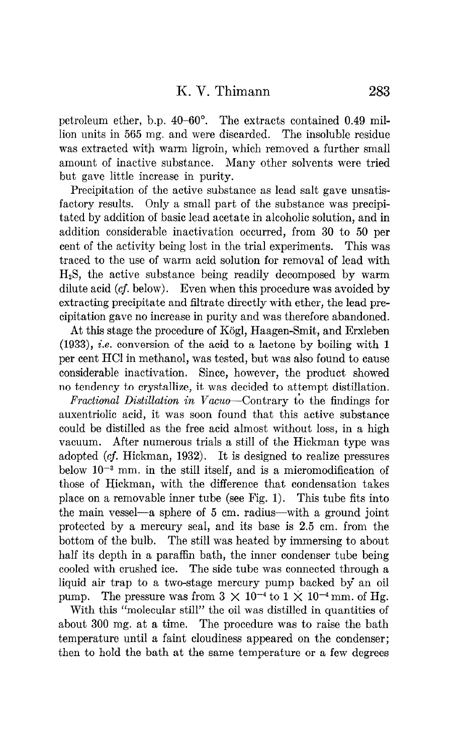petroleum ether, b.p. 40-60". The extracts contained 0.49 million units in 565 mg. and were discarded. The insoluble residue was extracted with warm ligroin, which removed a further small amount of inactive substance. Many other solvents were tried but gave little increase in purity.

Precipitation of the active substance as lead salt gave unsatisfactory results. Only a small part of the substance was precipitated by addition of basic lead acetate in alcoholic solution, and in addition considerable inactivation occurred, from 30 to 50 per cent of the activity being lost in the trial experiments. This was traced to the use of warm acid solution for removal of lead with  $H<sub>2</sub>S$ , the active substance being readily decomposed by warm dilute acid (cf. below). Even when this procedure was avoided by extracting precipitate and filtrate directly with ether, the lead precipitation gave no increase in purity and was therefore abandoned.

At this stage the procedure of Kogl, Haagen-Smit, and Erxleben (1933), i.e. conversion of the acid to a lactone by boiling with 1 per cent HCI in methanol, was tested, but was also found to cause considerable inactivation. Since, however, the product showed no tendency to crystallize, it was decided to attempt distillation.

Fractional Distillation in Vacuo-Contrary to the findings for auxentriolic acid, it was soon found that this active substance could be distilled as the free acid almost without loss, in a high vacuum. After numerous trials a still of the Hickman type was adopted (cf. Hickman, 1932). It is designed to realize pressures below  $10^{-3}$  mm. in the still itself, and is a micromodification of those of Bickman, with the difference that condensation takes place on a removable inner tube (see Fig. 1). This tube fits into the main vessel—a sphere of 5 cm. radius—with a ground joint protected by a mercury seal, and its base is 2.5 cm. from the bottom of the bulb. The still was heated by immersing to about half its depth in a paraffin bath, the inner condenser tube being cooled with crushed ice. The side tube was connected through a liquid air trap to a two-stage mercury pump backed by' an oil pump. The pressure was from  $3 \times 10^{-4}$  to  $1 \times 10^{-4}$  mm. of Hg.

With this "molecular still" the oil was distilled in quantities of about 300 mg. at a time. The procedure was to raise the bath temperature until a faint cloudiness appeared on the condenser; then to hold the bath at the same temperature or a few degrees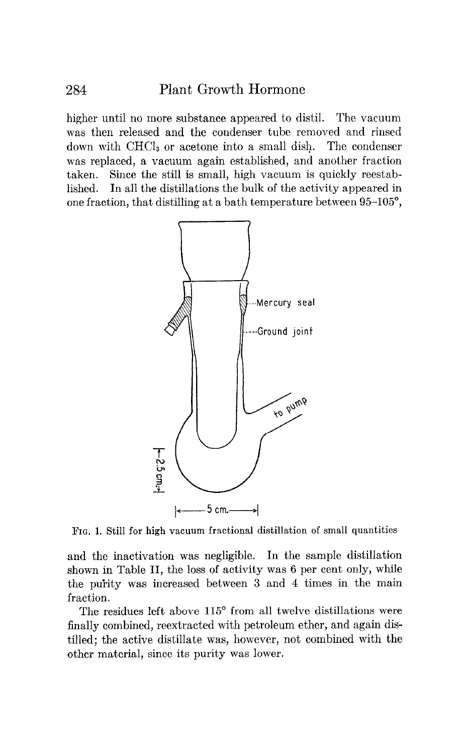higher until no more substance appeared to distil. The vacuum was then released and the condenser tube removed and rinsed down with CHCI, or acetone into a small dish. The condenser was replaced, a vacuum again established, and another fraction taken. Since the still is small, high vacuum is quickly reestablished. In all the distillations the bulk of the activity appeared in one fraction, that distilling at a bath temperature between 95-105",



FIG. 1. Still for high vacuum fractional distillation of small quantities

and the inactivation was negligible. In the sample distillation shown in Table II, the loss of activity was 6 per cent only, while the purity was increased between 3 and 4 times in the main fraction.

The residues left above 115° from all twelve distillations were finally combined, reextracted with petroleum ether, and again distilled; the active distillate was, however, not combined with the other material, since its purity was lower.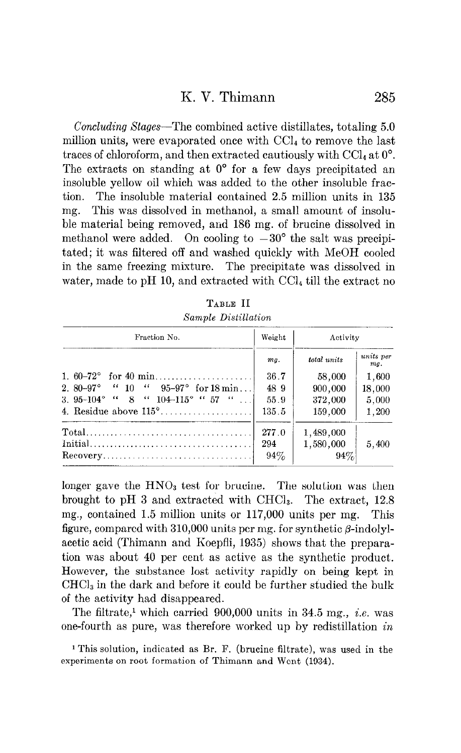## K. V. Thimann 285

Concluding Stages-The combined active distillates, totaling 5.0 million units, were evaporated once with  $\text{CCI}_4$  to remove the last traces of chloroform, and then extracted cautiously with CC $l_4$  at  $0^\circ$ . The extracts on standing at  $0^{\circ}$  for a few days precipitated an insoluble yellow oil which was added to the other insoluble fraction. The insoluble material contained 2.5 million units in 135 mg. This was dissolved in methanol, a small amount of insoluble material being removed, and 186 mg. of brucine dissolved in methanol were added. On cooling to  $-30^{\circ}$  the salt was precipitated; it was filtered off and washed quickly with MeOH cooled in the same freezing mixture. The precipitate was dissolved in water, made to pH 10, and extracted with CC14 till the extract no

| Fraction No.                                                                  | Weight | Activity    |                  |
|-------------------------------------------------------------------------------|--------|-------------|------------------|
|                                                                               | mg.    | total units | units per<br>mq. |
| 1. $60-72^{\circ}$ for 40 min                                                 | 36.7   | 58,000      | 1,600            |
| 2. 80–97° $\cdot$ 10 $\cdot$ 95–97° for 18 min                                | 48.9   | 900,000     | 18,000           |
| 3. 95-104° " 8 " $104$ -115° " 57 "                                           | 55.9   | 372,000     | 5,000            |
|                                                                               | 135.5  | 159,000     | 1,200            |
|                                                                               | 277.0  | 1,489,000   |                  |
|                                                                               | 294    | 1,580,000   | 5,400            |
| $\text{Recovery} \dots \dots \dots \dots \dots \dots \dots \dots \dots \dots$ | $94\%$ | 94%         |                  |

| TABLE II            |
|---------------------|
| Sample Distillation |

longer gave the  $HNO<sub>3</sub>$  test for brucine. The solution was then brought to pH 3 and extracted with  $CHCl<sub>3</sub>$ . The extract, 12.8 mg., contained 1.5 million units or 117,000 units per mg. This figure, compared with 310,000 units per mg. for synthetic  $\beta$ -indolylacetic acid (Thimann and Koepfli, 1935) shows that the preparation was about 40 per cent as active as the synthetic product. However, the substance lost activity rapidly on being kept in CHCl, in the dark and before it could be further studied the bulk of the activity had disappeared.

The filtrate,<sup>1</sup> which carried  $900,000$  units in 34.5 mg., *i.e.* was one-fourth as pure, was therefore worked up by redistillation in

i This solution, indicated as Br. F. (brucine filtrate), was used in the experiments on root formation of Thimann and Went (1934).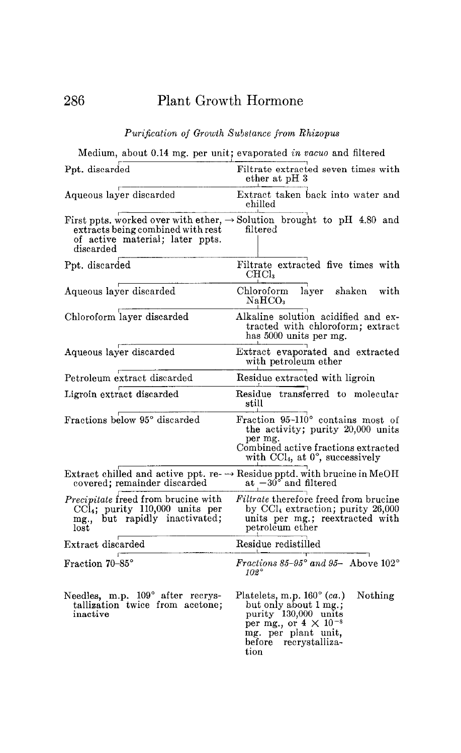## Purification of Growth Substance from Rhizopus

Medium, about 0.14 mg. per unit; evaporated in vacuo and filtered

| Ppt. disearded                                                                                                                                                         | Filtrate extracted seven times with<br>ether at pH 3                                                                                                                             |
|------------------------------------------------------------------------------------------------------------------------------------------------------------------------|----------------------------------------------------------------------------------------------------------------------------------------------------------------------------------|
| Aqueous layer discarded                                                                                                                                                | Extract taken back into water and<br>$\rm{child}$                                                                                                                                |
| First ppts, worked over with ether, $\rightarrow$ Solution brought to pH 4.80 and<br>extracts being combined with rest<br>of active material; later ppts.<br>discarded | filtered                                                                                                                                                                         |
| Ppt. discarded                                                                                                                                                         | Filtrate extracted five times with<br>CHCl.                                                                                                                                      |
| Aqueous layer discarded                                                                                                                                                | shaken<br>Chloroform<br>layer<br>with<br>$\rm NaHCO_{3}$                                                                                                                         |
| Chloroform layer disearded                                                                                                                                             | Alkaline solution acidified and ex-<br>tracted with chloroform; extract<br>has 5000 units per mg.                                                                                |
| Aqueous layer discarded                                                                                                                                                | Extract evaporated and extracted<br>with petroleum ether                                                                                                                         |
| Petroleum extract discarded                                                                                                                                            | Residue extracted with ligroin                                                                                                                                                   |
| Ligroin extract discarded                                                                                                                                              | Residue transferred to molecular<br>still                                                                                                                                        |
| Fractions below 95° discarded                                                                                                                                          | Fraction 95-110° contains most of<br>the activity; purity 20,000 units<br>per mg.<br>Combined active fractions extracted<br>with CCl <sub>4</sub> , at 0°, successively          |
| Extract chilled and active ppt. re- $\rightarrow$ Residue pptd. with brucine in MeOH<br>covered; remainder discarded                                                   | at $-30^{\circ}$ and filtered                                                                                                                                                    |
| <i>Precipitate</i> freed from brucine with<br>CCl <sub>4</sub> ; purity 110,000 units per<br>mg., but rapidly inactivated;<br>lost                                     | <i>Filtrate</i> therefore freed from brucine<br>by $\text{CCl}_4$ extraction; purity 26,000<br>units per mg.; reextracted with<br>petroleum ether                                |
| Extract discarded                                                                                                                                                      | Residue redistilled                                                                                                                                                              |
| Fraction 70-85°                                                                                                                                                        | Fractions 85-95° and 95- Above $102^\circ$<br>$102^\circ$                                                                                                                        |
| Needles, m.p. 109° after recrys-<br>tallization twice from acetone;<br>inactive                                                                                        | Platelets, m.p. 160° (ca.)<br>Nothing<br>but only about 1 mg.;<br>purity 130,000 units<br>per mg., or $4 \times 10^{-8}$<br>mg. per plant unit,<br>before recrystalliza-<br>tion |

286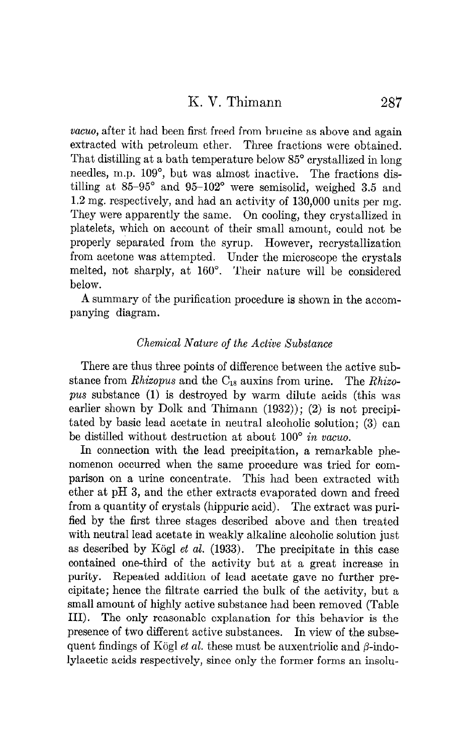vacuo, after it had been first freed from brucine as above and again extracted with petroleum ether. Three fractions were obtained. That distilling at a bath temperature below 85<sup>°</sup> crystallized in long needles, m.p. 109°, but was almost inactive. The fractions distilling at  $85-95^\circ$  and  $95-102^\circ$  were semisolid, weighed 3.5 and 1.2 mg. respectively, and had an activity of 130,000 units per mg. They were apparently the same. On cooling, they crystallized in platelets, which on account of their small amount, could not be properly separated from the syrup. However, recrystallization from acetone was attempted. Under the microscope the crystals melted, not sharply, at 160". Their nature will be considered below.

A summary of the purification procedure is shown in the accompanying diagram.

## Chemical Nature of the Active Substance

There are thus three points of difference between the active substance from Rhizopus and the  $C_{18}$  auxins from urine. The Rhizopus substance (1) is destroyed by warm dilute acids (this was earlier shown by Dolk and Thimann  $(1932)$ ;  $(2)$  is not precipitated by basic lead acetate in neutral alcoholic solution; (3) can be distilled without destruction at about 100° in vacuo.

In connection with the lead precipitation, a remarkable phenomenon occurred when the same procedure was tried for comparison on a urine concentrate. This had been extracted with ether at pH 3, and the ether extracts evaporated down and freed from a quantity of crystals (hippuric acid). The extract was purified by the first three stages described above and then treated with neutral lead acetate in weakly alkaline alcoholic solution just as described by Kögl et al.  $(1933)$ . The precipitate in this case contained one-third of the activity but at a great increase in purity. Repeated addition of lead acetate gave no further precipitate; hence the filtrate carried the bulk of the activity, but a small amount of highly active substance had been removed (Table III). The only reasonable explanation for this behavior is the presence of two different active substances. In view of the subsequent findings of Kögl et al. these must be auxentriolic and  $\beta$ -indolylacetic acids respectively, since only the former forms an insolu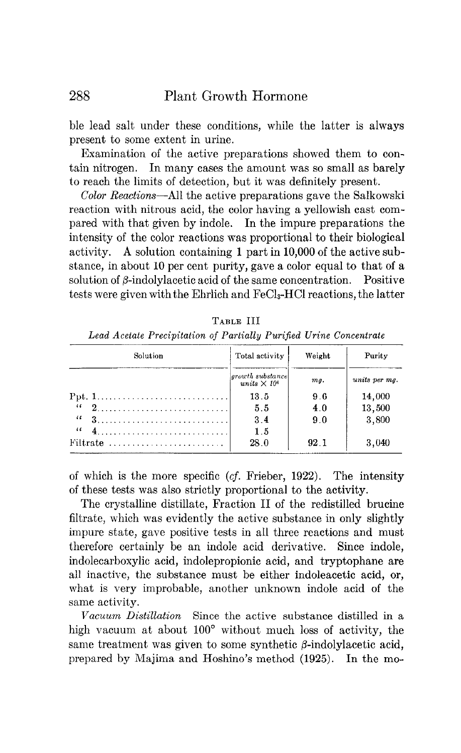ble lead salt under these conditions, while the latter is always present to some extent in urine.

Examination of the active preparations showed them to contain nitrogen. In many cases the amount was so small as barely to reach the limits of detection, but it was definitely present.

Color Reactions-All the active preparations gave the Salkowski reaction with nitrous acid, the color having a yellowish cast compared with that given by indole. In the impure preparations the intensity of the color reactions was proportional to their biological activity. A solution containing 1 part in 10,000 of the active substance, in about 10 per cent purity, gave a color equal to that of a solution of  $\beta$ -indolylacetic acid of the same concentration. Positive tests were given withthe Ehrlich and FeCls-HCl reactions, the latter

| Leaa Acetate Precipitation of Partially Purinea Urine Concentrate |                                                    |        |               |
|-------------------------------------------------------------------|----------------------------------------------------|--------|---------------|
| Solution                                                          | Total activity                                     | Weight | Purity        |
|                                                                   | growth substance<br>units $\times$ 10 <sup>4</sup> | mq.    | units per mg. |
|                                                                   | 13.5                                               | 9.6    | 14,000        |
|                                                                   | 5.5                                                | 4.0    | 13,500        |
|                                                                   | 3.4                                                | 9.0    | 3,800         |
| 66                                                                | 1.5                                                |        |               |
| Filtrate $\ldots \ldots \ldots \ldots \ldots \ldots$              | 28.0                                               | 92.1   | 3.040         |

TABLE III

 $\mathcal{L}$  Precipitation of Partially Purijied Urine Concentration of Partially Purijied Urine Concentration of Purijied Urine Concentration of Puriji

of which is the more specific (cf. Frieber, 1922). The intensity of these tests was also strictly proportional to the activity.

The crystalline distillate, Fraction II of the redistilled brucine filtrate, which was evidently the active substance in only slightly impure state, gave positive tests in all three reactions and must therefore certainly be an indole acid derivative. Since indole, indolecarboxylic acid, indolepropionic acid, and tryptophane are all inactive, the substance must be either indoleacetic acid, or, what is very improbable, another unknown indole acid of the same activity.

Vacuum Distillation-Since the active substance distilled in a high vacuum at about  $100^{\circ}$  without much loss of activity, the same treatment was given to some synthetic  $\beta$ -indolylacetic acid, prepared by Majima and Hoshino's method (1925). In the mo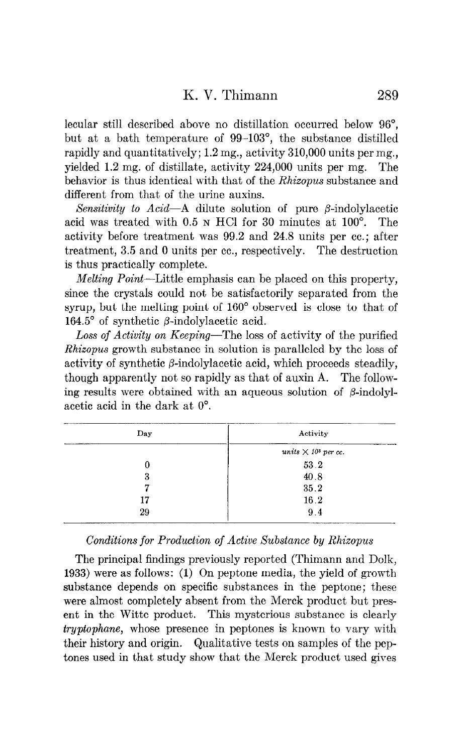lecular still described above no distillation occurred below 96", but at a bath temperature of 99-103°, the substance distilled rapidly and quantitatively;  $1.2 \text{ mg}$ , activity  $310,000$  units per mg. yielded 1.2 mg. of distillate, activity 224,000 units per mg. The behavior is thus identical with that of the *Rhizopus* substance and different from that of the urine auxins.

Sensitivity to Acid-A dilute solution of pure  $\beta$ -indolylacetic acid was treated with 0.5 N HCl for 30 minutes at 100'. The activity before treatment was 99.2 and 24.8 units per cc.; after treatment, 3.5 and 0 units per cc., respectively. The destruction is thus practically complete.

Melting Point-Little emphasis can be placed on this property, since the crystals could not be satisfactorily separated from the syrup, but the melting point of 160' observed is close to that of 164.5° of synthetic  $\beta$ -indolylacetic acid.

Loss of Activity on Keeping-The loss of activity of the purified Rhizopus growth substance in solution is paralleled by the loss of activity of synthetic  $\beta$ -indolylacetic acid, which proceeds steadily, though apparently not so rapidly as that of auxin A. The following results were obtained with an aqueous solution of  $\beta$ -indolylacetic acid in the dark at  $0^\circ$ .

| Day | Activity                               |
|-----|----------------------------------------|
|     | units $\times$ 10 <sup>3</sup> per cc. |
| 0   | 53 2                                   |
| 3   | 40.8                                   |
| 7   | 35.2                                   |
| 17  | 16.2                                   |
| 29  | 9.4                                    |

### Conditions for Production of Active Substance by Rhizopus

The principal findings previously reported (Thimann and Dolk, 1933) were as follows: (1) On peptone media, the yield of growth substance depends on specific substances in the peptone; these were almost completely absent from the Merck product but present in the Witte product. This mysterious substance is clearly tryptophane, whose presence in peptones is known to vary with their history and origin. Qualitative tests on samples of the peptones used in that study show that the Merck product used gives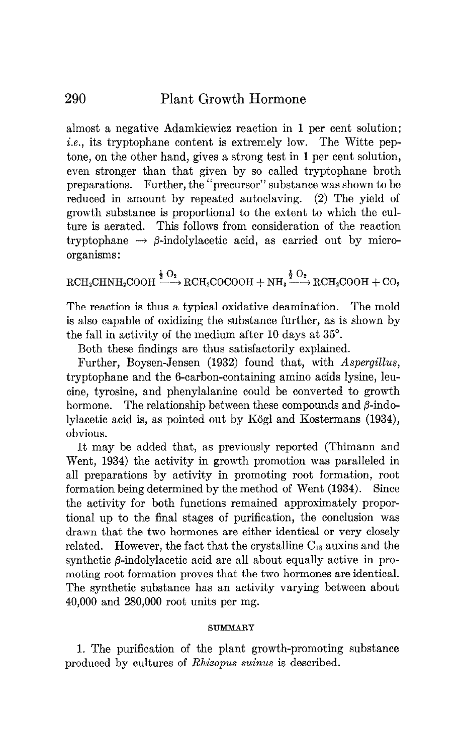almost a negative Adamkiewicz reaction in 1 per cent solution; i.e., its tryptophane content is extremely low. The Witte peptone, on the other hand, gives a strong test in 1 per cent solution, even stronger than that given by so called tryptophane broth preparations. Further, the "precursor" substance was shown to be reduced in amount by repeated autoclaving. (2) The yield of growth substance is proportional to the extent to which the culture is aerated. This follows from consideration of the reaction tryptophane  $\rightarrow \beta$ -indolylacetic acid, as carried out by microorganisms :

 $\text{RCH}_2\text{CHNH}_2\text{COOH}\xrightarrow{\frac{1}{2}\text{O}_2}\text{RCH}_2\text{COCOOH} + \text{NH}_3\xrightarrow{\frac{1}{2}\text{O}_2}\text{RCH}_2\text{COOH} + \text{CO}_2$ 

The reaction is thus a typical oxidative deamination. The mold is also capable of oxidizing the substance further, as is shown by the fall in activity of the medium after 10 days at 35".

Both these findings are thus satisfactorily explained.

Further, Boysen-Jensen (1932) found that, with Aspergillus, tryptophane and the 6-carbon-containing amino acids lysine, leucine, tyrosine, and phenylalanine could be converted to growth hormone. The relationship between these compounds and  $\beta$ -indolylacetic acid is, as pointed out by Kogl and Kostermans (1934), obvious.

It may be added that, as previously reported (Thimann and Went, 1934) the activity in growth promotion was paralleled in all preparations by activity in promoting root formation, root formation being determined by the method of Went (1934). Since the activity for both functions remained approximately proportional up to the final stages of purification, the conclusion was drawn that the two hormones are either identical or very closely related. However, the fact that the crystalline  $C_{18}$  auxins and the synthetic  $\beta$ -indolylacetic acid are all about equally active in promoting root formation proves that the two hormones are identical. The synthetic substance has an activity varying between about 40,000 and 280,000 root units per mg.

### SUMMARY

1. The purification of the plant growth-promoting substance produced by cultures of Rhixopus suinus is described.